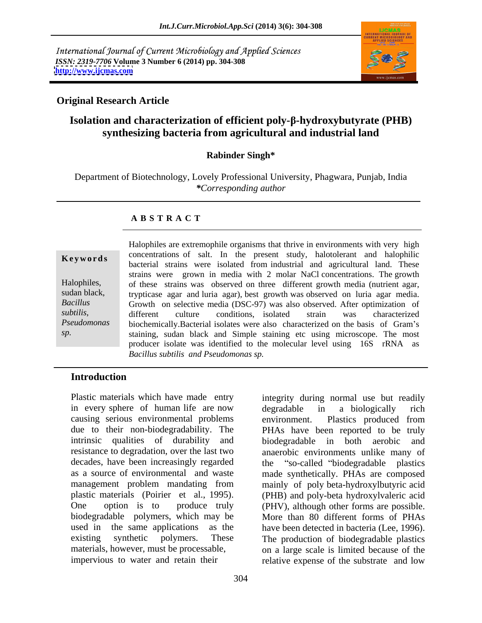International Journal of Current Microbiology and Applied Sciences *ISSN: 2319-7706* **Volume 3 Number 6 (2014) pp. 304-308 <http://www.ijcmas.com>**



degradable in a biologically rich

environment. Plastics produced from

# **Original Research Article**

# **Isolation and characterization of efficient poly- -hydroxybutyrate (PHB) synthesizing bacteria from agricultural and industrial land**

### **Rabinder Singh\***

Department of Biotechnology, Lovely Professional University, Phagwara, Punjab, India *\*Corresponding author* 

### **A B S T R A C T**

**Keywords** concentrations of salt. In the present study, halotolerant and halophilic Halophiles, of these strains was observed on three different growth media (nutrient agar, sudan black, trypticase agar and luria agar), best growth was observed on luria agar media. *Bacillus*  Growth on selective media (DSC-97) was also observed. After optimization of *subtilis*, *different* culture conditions, isolated strain was characterized Pseudomonas biochemically.Bacterial isolates were also characterized on the basis of Gram's *sp.* staining, sudan black and Simple staining etc using microscope. The most Halophiles are extremophile organisms that thrive in environments with very high bacterial strains were isolated from industrial and agricultural land. These strains were grown in media with 2 molar NaCl concentrations. The growth different culture conditions, isolated strain was characterized producer isolate was identified to the molecular level using 16S rRNA as *Bacillus subtilis and Pseudomonas sp.*

### **Introduction**

Plastic materials which have made entry integrity during normal use but readily in every sphere of human life are now degradable in a biologically rich causing serious environmental problems due to their non-biodegradability. The PHAs have been reported to be truly intrinsic qualities of durability and resistance to degradation, over the last two anaerobic environments unlike many of decades, have been increasingly regarded as a source of environmental and waste made synthetically. PHAs are composed management problem mandating from mainly of poly beta-hydroxylbutyric acid plastic materials (Poirier et al., 1995). (PHB) and poly-beta hydroxylvaleric acid One option is to produce truly (PHV), although other forms are possible. biodegradable polymers, which may be More than 80 different forms of PHAs used in the same applications as the have been detected in bacteria (Lee, 1996). existing synthetic polymers. These The production of biodegradable plastics materials, however, must be processable, on a large scale is limited because of the impervious to water and retain their relative expense of the substrate and low

biodegradable in both aerobic

"so-called "biodegradable plastics"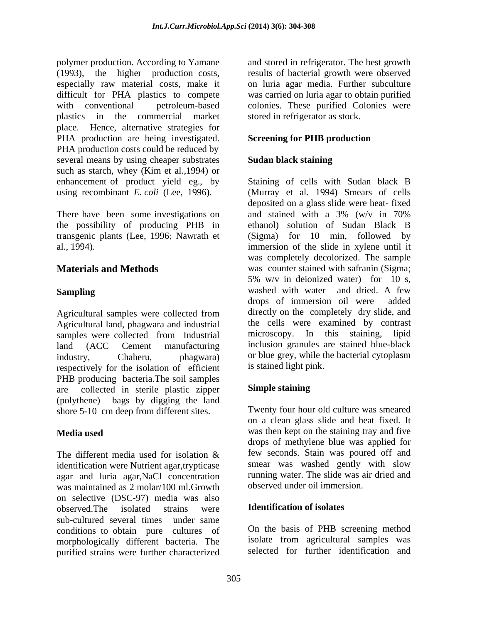polymer production. According to Yamane and stored in refrigerator. The best growth (1993), the higher production costs, results of bacterial growth were observed especially raw material costs, make it on luria agar media. Further subculture difficult for PHA plastics to compete was carried on luria agar to obtain purified with conventional petroleum-based colonies. These purified Colonies were plastics in the commercial market place. Hence, alternative strategies for PHA production are being investigated. PHA production costs could be reduced by several means by using cheaper substrates **Sudan black staining** such as starch, whey (Kim et al.,1994) or enhancement of product yield eg., by Staining of cells with Sudan black B

Agricultural land, phagwara and industrial the cells were examined by contrast samples were collected from Industrial incroscopy. In this staining, lipid samples were collected from Industrial industry, Chaheru, phagwara) or blue grey, while the bacterial cytoplasm respectively for the isolation of efficient PHB producing bacteria.The soil samples are collected in sterile plastic zipper (polythene) bags by digging the land shore 5-10 cm deep from different sites.

The different media used for isolation  $\&$  few seconds. Stain was poured off and identification were Nutrient agar,trypticase agar and luria agar, NaCl concentration was maintained as 2 molar/100 ml.Growth on selective (DSC-97) media was also observed.The isolated strains were sub-cultured several times under same conditions to obtain pure cultures of morphologically different bacteria. The purified strains were further characterized

stored in refrigerator as stock.

# **Screening for PHB production**

# **Sudan black staining**

using recombinant *E. coli* (Lee, 1996). (Murray et al. 1994) Smears of cells There have been some investigations on and stained with a 3% (w/v in 70%) the possibility of producing PHB in ethanol) solution of Sudan Black B transgenic plants (Lee, 1996; Nawrath et (Sigma) for 10 min, followed by al., 1994). immersion of the slide in xylene until it **Materials and Methods** was counter stained with safranin (Sigma; **Sampling Sampling Sampling Sampling Sampling Sampling Sampling Sampling Sampling Sampling Sampling Sampling Sampling Sampling Sampling Sampling Sampling Sampling Sampling Sampling S** Agricultural samples were collected from directly on the completely dry slide, and land (ACC Cement manufacturing inclusion granules are stained blue-black deposited on a glass slide were heat- fixed and stained with a 3% (w/v in 70% was completely decolorized. The sample 5% w/v in deionized water) for 10 s, drops of immersion oil were added directly on the completely dry slide, and the cells were examined by contrast microscopy. In this staining, lipid inclusion granules are stained blue-black or blue grey, while the bacterial cytoplasm is stained light pink.

# **Simple staining**

**Media used** was then kept on the staining tray and five Twenty four hour old culture was smeared on a clean glass slide and heat fixed. It drops of methylene blue was applied for few seconds. Stain was poured off and smear was washed gently with slow running water. The slide was air dried and observed under oil immersion.

### **Identification of isolates**

On the basis of PHB screening method isolate from agricultural samples was selected for further identification and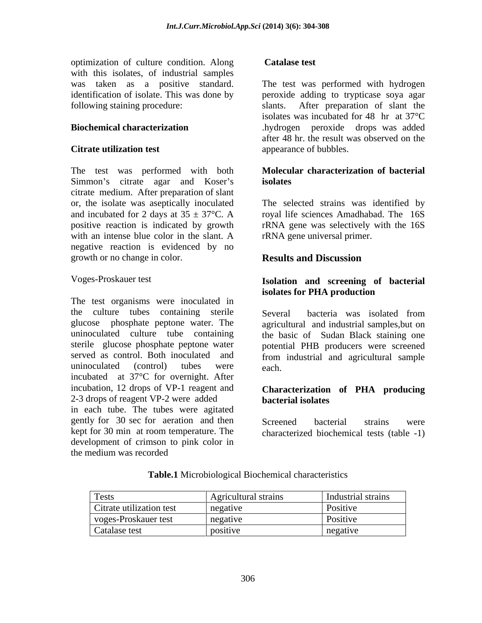optimization of culture condition. Along with this isolates, of industrial samples

The test was performed with both Simmon's citrate agar and Koser's isolates citrate medium. After preparation of slant or, the isolate was aseptically inoculated The selected strains was identified by and incubated for 2 days at  $35 \pm 37^{\circ}$ C. A royal life sciences Amadhabad. The 16S positive reaction is indicated by growth rRNA gene was selectively with the 16S with an intense blue color in the slant. A negative reaction is evidenced by no growth or no change in color. **Results and Discussion** 

The test organisms were inoculated in the culture tubes containing sterile Several bacteria was isolated from glucose phosphate peptone water. The uninoculated culture tube containing sterile glucose phosphate peptone water potential PHB producers were screened served as control. Both inoculated and from industrial and agricultural sample uninoculated (control) tubes were each. incubated at 37°C for overnight. After incubation, 12 drops of VP-1 reagent and **Characterization of PHA producing** 2-3 drops of reagent VP-2 were added **bacterial isolates** in each tube. The tubes were agitated gently for 30 sec for aeration and then Screened bacterial strains were kept for 30 min at room temperature. The characterized biochemical tests (table -1) development of crimson to pink color in the medium was recorded

### **Catalase test**

was taken as a positive standard. The test was performed with hydrogen identification of isolate. This was done by peroxide adding to trypticase soya agar following staining procedure: slants. After preparation of slant the **Biochemical characterization** .hydrogen peroxide drops was added **Citrate utilization test** appearance of bubbles. isolates was incubated for 48 hr at 37°C after 48 hr. the result was observed on the

### **Molecular characterization of bacterial isolates**

rRNA gene universal primer.

# **Results and Discussion**

# Voges-Proskauer test **Isolation and screening of bacterial isolates for PHA production**

Several bacteria was isolated from agricultural and industrial samples,but on the basic of Sudan Black staining one each. **Each** contract the contract of the contract of the contract of the contract of the contract of the contract of the contract of the contract of the contract of the contract of the contract of the contract of the cont

# **bacterial isolates**

Screened bacterial strains were

| <b>Tests</b>             | Agricultural strains | Industrial strains                |
|--------------------------|----------------------|-----------------------------------|
| Citrate utilization test | negative             | Positive                          |
| voges-Proskauer test     | negative             | $\mathbf{r}$ $\cdots$<br>Positive |
| Catalase test            | positive             | negative                          |

### **Table.1** Microbiological Biochemical characteristics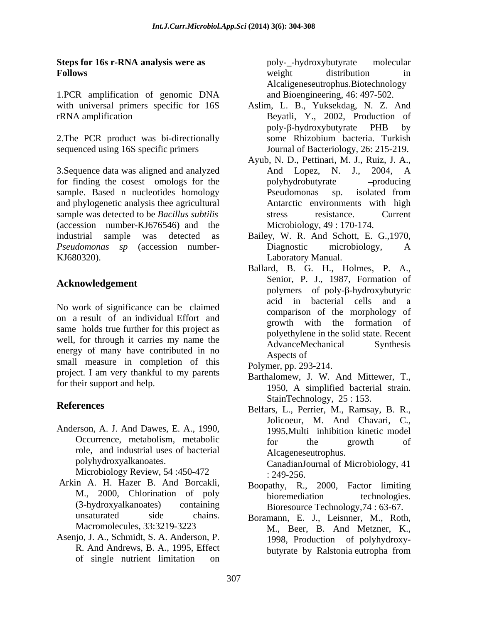### **Steps for 16s r-RNA analysis were as Follows Follows** *Pollows Pollows Pollows Pollows Pollows Pollows Pollows Pollows Pollows Pollows Pollows Pollows Pollows Pollows Pollows Pollows Pollows*

1.PCR amplification of genomic DNA

3. Sequence data was aligned and analyzed **And Lopez**, N. J., 2004, A for finding the cosest omologs for the polyhydrobutyrate -producing sample. Based n nucleotides homology Pseudomonas sp. isolated from and phylogenetic analysis thee agricultural sample was detected to be *Bacillus subtilis* stress resistance. Current (accession number-KJ676546) and the industrial sample was detected as Bailey, W. R. And Schott, E. G.,1970, *Pseudomonas sp* (accession number- KJ680320). Laboratory Manual.

# **Acknowledgement**

No work of significance can be claimed on a result of an individual Effort and same holds true further for this project as well, for through it carries my name the AdvanceMechanical Synthesis energy of many have contributed in no<br>Aspects of small measure in completion of this project. I am very thankful to my parents

Anderson, A. J. And Dawes, E. A., 1990, role, and industrial uses of bacterial

Microbiology Review, 54:450-472 : 249-256.

- Arkin A. H. Hazer B. And Borcakli,
- Asenjo, J. A., Schmidt, S. A. Anderson, P. R. And Andrews, B. A., 1995, Effect of single nutrient limitation on

poly-\_-hydroxybutyrate molecular weight distribution in Alcaligeneseutrophus.Biotechnology and Bioengineering, 46: 497-502.

- with universal primers specific for 16S Aslim, L. B., Yuksekdag, N. Z. And rRNA amplification Beyatli, Y., 2002, Production of 2. The PCR product was bi-directionally some Rhizobium bacteria. Turkish sequenced using 16S specific primers Journal of Bacteriology, 26: 215-219. poly-β-hydroxybutyrate PHB by some Rhizobium bacteria. Turkish
	- Ayub, N. D., Pettinari, M. J., Ruiz, J. A., And Lopez, N. J., 2004, A polyhydrobutyrate Pseudomonas sp. isolated from Antarctic environments with high stress resistance. Current Microbiology, 49 : 170-174.
	- Diagnostic microbiology, A
	- Ballard, B. G. H., Holmes, P. A., Senior, P. J., 1987, Formation of polymers of poly- $\beta$ -hydroxybutyric acid in bacterial cells and a comparison of the morphology of growth with the formation of polyethylene in the solid state. Recent AdvanceMechanical Synthesis Aspects of
	- Polymer, pp. 293-214.
- for their support and help.<br>1950, A simplified bacterial strain. Barthalomew, J. W. And Mittewer, T., 1950, A simplified bacterial strain. StainTechnology, 25 : 153.
- **References** Belfars, L., Perrier, M., Ramsay, B. R., Occurrence, metabolism, metabolic for the growth of polyhydroxyalkanoates. CanadianJournal of Microbiology, 41 Jolicoeur, M. And Chavari, C., 1995,Multi inhibition kinetic model for the growth of Alcageneseutrophus. : 249-256.
	- M., 2000, Chlorination of poly bioremediation technologies. (3-hydroxyalkanoates) containing Bioresource Technology,74 : 63-67. Boopathy, R., 2000, Factor limiting bioremediation technologies.
	- unsaturated side chains. Boramann, E. J., Leisnner, M., Roth, Macromolecules, 33:3219-3223 M., Beer, B. And Metzner, K., 1998, Production of polyhydroxy butyrate by Ralstonia eutropha from